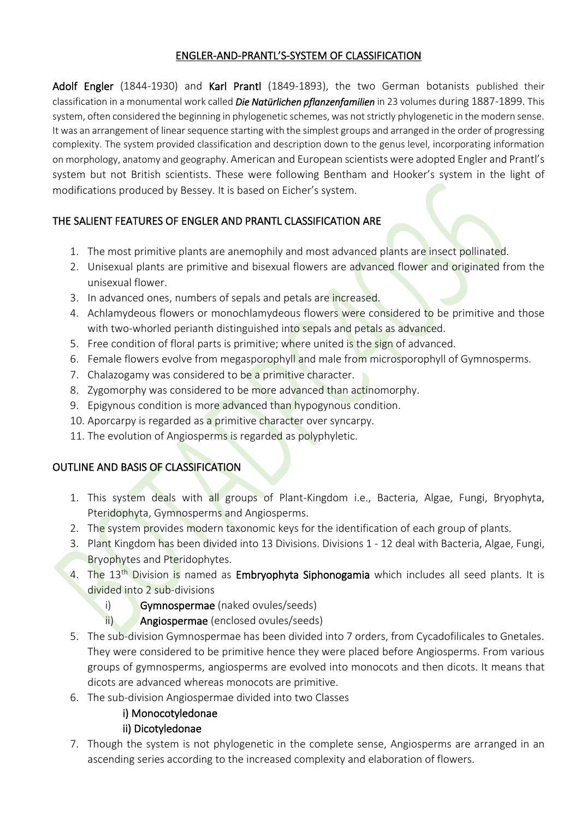### ENGLER-AND-PRANTL'S-SYSTEM OF CLASSIFICATION

Adolf Engler (1844-1930) and Karl Prantl (1849-1893), the two German botanists published their classification in a monumental work called *Die Natürlichen pflanzenfamilien* in 23 volumes during 1887-1899. This system, often considered the beginning in phylogenetic schemes, was not strictly phylogenetic in the modern sense. It was an arrangement of linear sequence starting with the simplest groups and arranged in the order of progressing complexity. The system provided classification and description down to the genus level, incorporating information on morphology, anatomy and geography. American and European scientists were adopted Engler and Prantl's system but not British scientists. These were following Bentham and Hooker's system in the light of modifications produced by Bessey. It is based on Eicher's system.

## THE SALIENT FEATURES OF ENGLER AND PRANTL CLASSIFICATION ARE

- 1. The most primitive plants are anemophily and most advanced plants are insect pollinated.
- 2. Unisexual plants are primitive and bisexual flowers are advanced flower and originated from the unisexual flower.
- 3. In advanced ones, numbers of sepals and petals are increased.
- 4. Achlamydeous flowers or monochlamydeous flowers were considered to be primitive and those with two-whorled perianth distinguished into sepals and petals as advanced.
- 5. Free condition of floral parts is primitive; where united is the sign of advanced.
- 6. Female flowers evolve from megasporophyll and male from microsporophyll of Gymnosperms.
- 7. Chalazogamy was considered to be a primitive character.
- 8. Zygomorphy was considered to be more advanced than actinomorphy.
- 9. Epigynous condition is more advanced than hypogynous condition.
- 10. Aporcarpy is regarded as a primitive character over syncarpy.
- 11. The evolution of Angiosperms is regarded as polyphyletic.

### OUTLINE AND BASIS OF CLASSIFICATION

- 1. This system deals with all groups of Plant-Kingdom i.e., Bacteria, Algae, Fungi, Bryophyta, Pteridophyta, Gymnosperms and Angiosperms.
- 2. The system provides modern taxonomic keys for the identification of each group of plants.
- 3. Plant Kingdom has been divided into 13 Divisions. Divisions 1 12 deal with Bacteria, Algae, Fungi, **Bryophytes and Pteridophytes.**
- 4. The 13<sup>th</sup> Division is named as Embryophyta Siphonogamia which includes all seed plants. It is divided into 2 sub-divisions
	- i) Gymnospermae (naked ovules/seeds)
	- ii) Angiospermae (enclosed ovules/seeds)
- 5. The sub-division Gymnospermae has been divided into 7 orders, from Cycadofilicales to Gnetales. They were considered to be primitive hence they were placed before Angiosperms. From various groups of gymnosperms, angiosperms are evolved into monocots and then dicots. It means that dicots are advanced whereas monocots are primitive.
- 6. The sub-division Angiospermae divided into two Classes

### i) Monocotyledonae

### ii) Dicotyledonae

7. Though the system is not phylogenetic in the complete sense, Angiosperms are arranged in an ascending series according to the increased complexity and elaboration of flowers.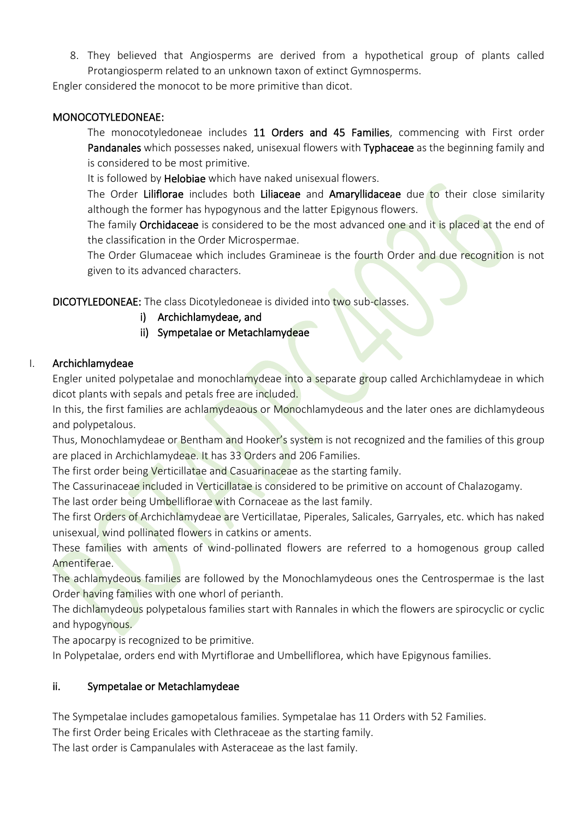8. They believed that Angiosperms are derived from a hypothetical group of plants called Protangiosperm related to an unknown taxon of extinct Gymnosperms.

Engler considered the monocot to be more primitive than dicot.

### MONOCOTYLEDONEAE:

The monocotyledoneae includes 11 Orders and 45 Families, commencing with First order Pandanales which possesses naked, unisexual flowers with Typhaceae as the beginning family and is considered to be most primitive.

It is followed by Helobiae which have naked unisexual flowers.

The Order Liliflorae includes both Liliaceae and Amaryllidaceae due to their close similarity although the former has hypogynous and the latter Epigynous flowers.

The family Orchidaceae is considered to be the most advanced one and it is placed at the end of the classification in the Order Microspermae.

The Order Glumaceae which includes Gramineae is the fourth Order and due recognition is not given to its advanced characters.

DICOTYLEDONEAE: The class Dicotyledoneae is divided into two sub-classes.

- i) Archichlamydeae, and
- ii) Sympetalae or Metachlamydeae

## I. Archichlamydeae

Engler united polypetalae and monochlamydeae into a separate group called Archichlamydeae in which dicot plants with sepals and petals free are included.

In this, the first families are achlamydeaous or Monochlamydeous and the later ones are dichlamydeous and polypetalous.

Thus, Monochlamydeae or Bentham and Hooker's system is not recognized and the families of this group are placed in Archichlamydeae. It has 33 Orders and 206 Families.

The first order being Verticillatae and Casuarinaceae as the starting family.

The Cassurinaceae included in Verticillatae is considered to be primitive on account of Chalazogamy.

The last order being Umbelliflorae with Cornaceae as the last family.

The first Orders of Archichlamydeae are Verticillatae, Piperales, Salicales, Garryales, etc. which has naked unisexual, wind pollinated flowers in catkins or aments.

These families with aments of wind-pollinated flowers are referred to a homogenous group called Amentiferae.

The achlamydeous families are followed by the Monochlamydeous ones the Centrospermae is the last Order having families with one whorl of perianth.

The dichlamydeous polypetalous families start with Rannales in which the flowers are spirocyclic or cyclic and hypogynous.

The apocarpy is recognized to be primitive.

In Polypetalae, orders end with Myrtiflorae and Umbelliflorea, which have Epigynous families.

## ii. Sympetalae or Metachlamydeae

The Sympetalae includes gamopetalous families. Sympetalae has 11 Orders with 52 Families.

The first Order being Ericales with Clethraceae as the starting family.

The last order is Campanulales with Asteraceae as the last family.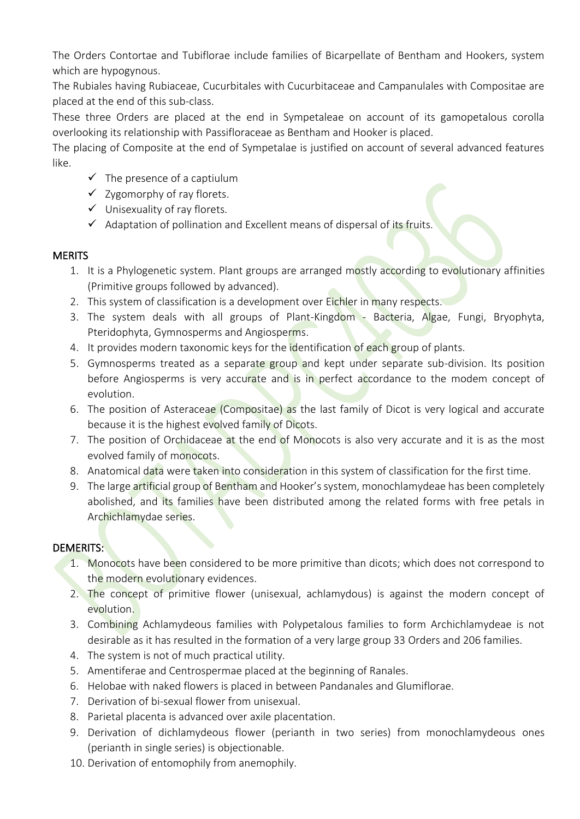The Orders Contortae and Tubiflorae include families of Bicarpellate of Bentham and Hookers, system which are hypogynous.

The Rubiales having Rubiaceae, Cucurbitales with Cucurbitaceae and Campanulales with Compositae are placed at the end of this sub-class.

These three Orders are placed at the end in Sympetaleae on account of its gamopetalous corolla overlooking its relationship with Passifloraceae as Bentham and Hooker is placed.

The placing of Composite at the end of Sympetalae is justified on account of several advanced features like.

- $\checkmark$  The presence of a captiulum
- $\checkmark$  Zygomorphy of ray florets.
- ✓ Unisexuality of ray florets.
- ✓ Adaptation of pollination and Excellent means of dispersal of its fruits.

### **MERITS**

- 1. It is a Phylogenetic system. Plant groups are arranged mostly according to evolutionary affinities (Primitive groups followed by advanced).
- 2. This system of classification is a development over Eichler in many respects.
- 3. The system deals with all groups of Plant-Kingdom Bacteria, Algae, Fungi, Bryophyta, Pteridophyta, Gymnosperms and Angiosperms.
- 4. It provides modern taxonomic keys for the identification of each group of plants.
- 5. Gymnosperms treated as a separate group and kept under separate sub-division. Its position before Angiosperms is very accurate and is in perfect accordance to the modem concept of evolution.
- 6. The position of Asteraceae (Compositae) as the last family of Dicot is very logical and accurate because it is the highest evolved family of Dicots.
- 7. The position of Orchidaceae at the end of Monocots is also very accurate and it is as the most evolved family of monocots.
- 8. Anatomical data were taken into consideration in this system of classification for the first time.
- 9. The large artificial group of Bentham and Hooker's system, monochlamydeae has been completely abolished, and its families have been distributed among the related forms with free petals in Archichlamydae series.

## DEMERITS:

- 1. Monocots have been considered to be more primitive than dicots; which does not correspond to the modern evolutionary evidences.
- 2. The concept of primitive flower (unisexual, achlamydous) is against the modern concept of evolution.
- 3. Combining Achlamydeous families with Polypetalous families to form Archichlamydeae is not desirable as it has resulted in the formation of a very large group 33 Orders and 206 families.
- 4. The system is not of much practical utility.
- 5. Amentiferae and Centrospermae placed at the beginning of Ranales.
- 6. Helobae with naked flowers is placed in between Pandanales and Glumiflorae.
- 7. Derivation of bi-sexual flower from unisexual.
- 8. Parietal placenta is advanced over axile placentation.
- 9. Derivation of dichlamydeous flower (perianth in two series) from monochlamydeous ones (perianth in single series) is objectionable.
- 10. Derivation of entomophily from anemophily.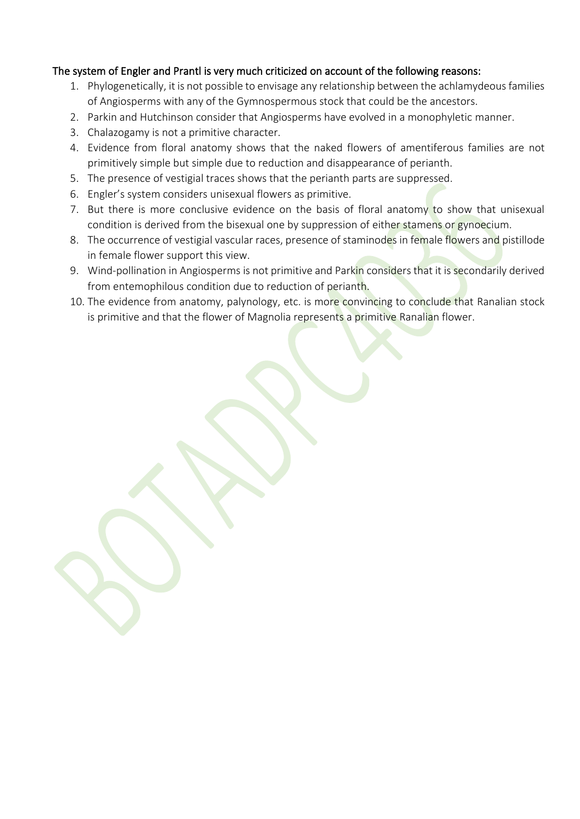#### The system of Engler and Prantl is very much criticized on account of the following reasons:

- 1. Phylogenetically, it is not possible to envisage any relationship between the achlamydeous families of Angiosperms with any of the Gymnospermous stock that could be the ancestors.
- 2. Parkin and Hutchinson consider that Angiosperms have evolved in a monophyletic manner.
- 3. Chalazogamy is not a primitive character.
- 4. Evidence from floral anatomy shows that the naked flowers of amentiferous families are not primitively simple but simple due to reduction and disappearance of perianth.
- 5. The presence of vestigial traces shows that the perianth parts are suppressed.
- 6. Engler's system considers unisexual flowers as primitive.
- 7. But there is more conclusive evidence on the basis of floral anatomy to show that unisexual condition is derived from the bisexual one by suppression of either stamens or gynoecium.
- 8. The occurrence of vestigial vascular races, presence of staminodes in female flowers and pistillode in female flower support this view.
- 9. Wind-pollination in Angiosperms is not primitive and Parkin considers that it is secondarily derived from entemophilous condition due to reduction of perianth.
- 10. The evidence from anatomy, palynology, etc. is more convincing to conclude that Ranalian stock is primitive and that the flower of Magnolia represents a primitive Ranalian flower.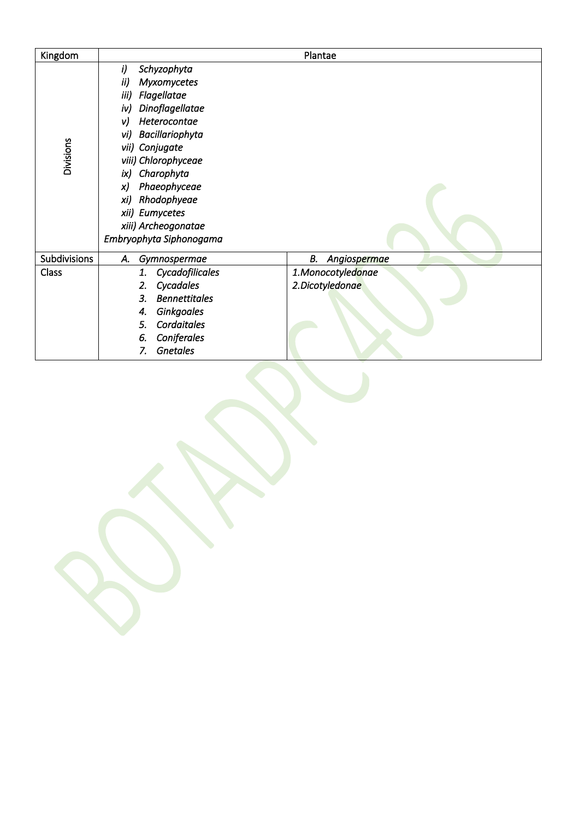| Kingdom      |                                                                                                                                                                                                                                                                                                                        | Plantae                              |
|--------------|------------------------------------------------------------------------------------------------------------------------------------------------------------------------------------------------------------------------------------------------------------------------------------------------------------------------|--------------------------------------|
| Divisions    | i)<br>Schyzophyta<br>ii)<br>Myxomycetes<br>iii)<br>Flagellatae<br>Dinoflagellatae<br>iv)<br>Heterocontae<br>v)<br>Bacillariophyta<br>vi)<br>vii) Conjugate<br>viii) Chlorophyceae<br>Charophyta<br>ix)<br>Phaeophyceae<br>x)<br>Rhodophyeae<br>xi)<br>xii) Eumycetes<br>xiii) Archeogonatae<br>Embryophyta Siphonogama |                                      |
| Subdivisions | А.<br>Gymnospermae                                                                                                                                                                                                                                                                                                     | В.<br>Angiospermae                   |
| Class        | Cycadofilicales<br>1.<br>Cycadales<br>2.<br>3.<br><b>Bennettitales</b><br><b>Ginkgoales</b><br>4.<br>Cordaitales<br>5.<br>Coniferales<br>6.<br><b>Gnetales</b><br>7.                                                                                                                                                   | 1.Monocotyledonae<br>2.Dicotyledonae |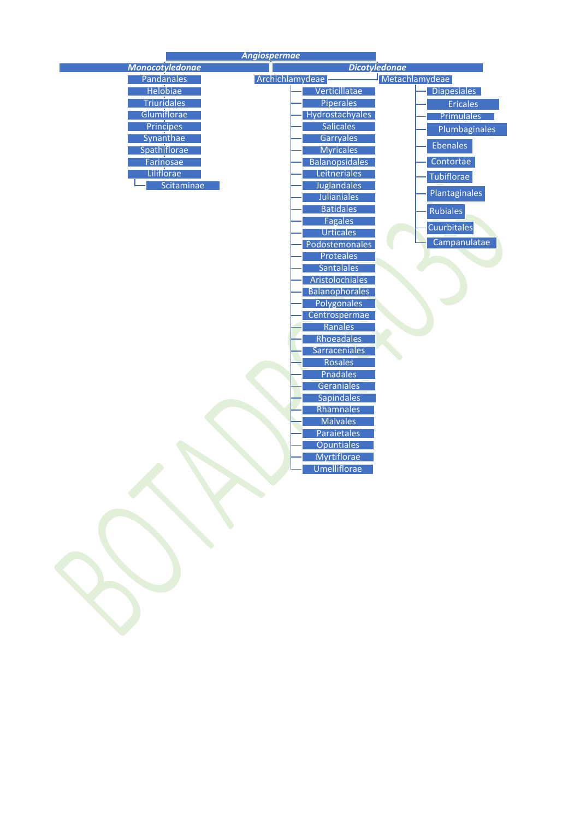